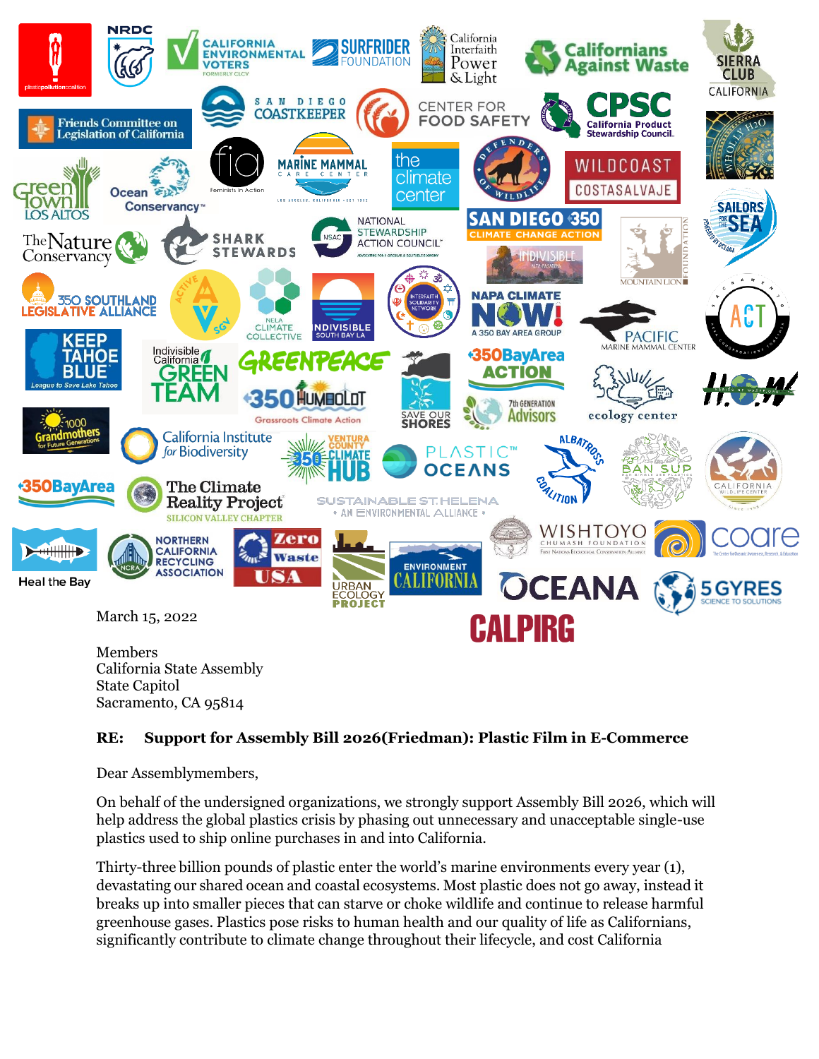

## **RE: Support for Assembly Bill 2026(Friedman): Plastic Film in E-Commerce**

Dear Assemblymembers,

On behalf of the undersigned organizations, we strongly support Assembly Bill 2026, which will help address the global plastics crisis by phasing out unnecessary and unacceptable single-use plastics used to ship online purchases in and into California.

Thirty-three billion pounds of plastic enter the world's marine environments every year (1), devastating our shared ocean and coastal ecosystems. Most plastic does not go away, instead it breaks up into smaller pieces that can starve or choke wildlife and continue to release harmful greenhouse gases. Plastics pose risks to human health and our quality of life as Californians, significantly contribute to climate change throughout their lifecycle, and cost California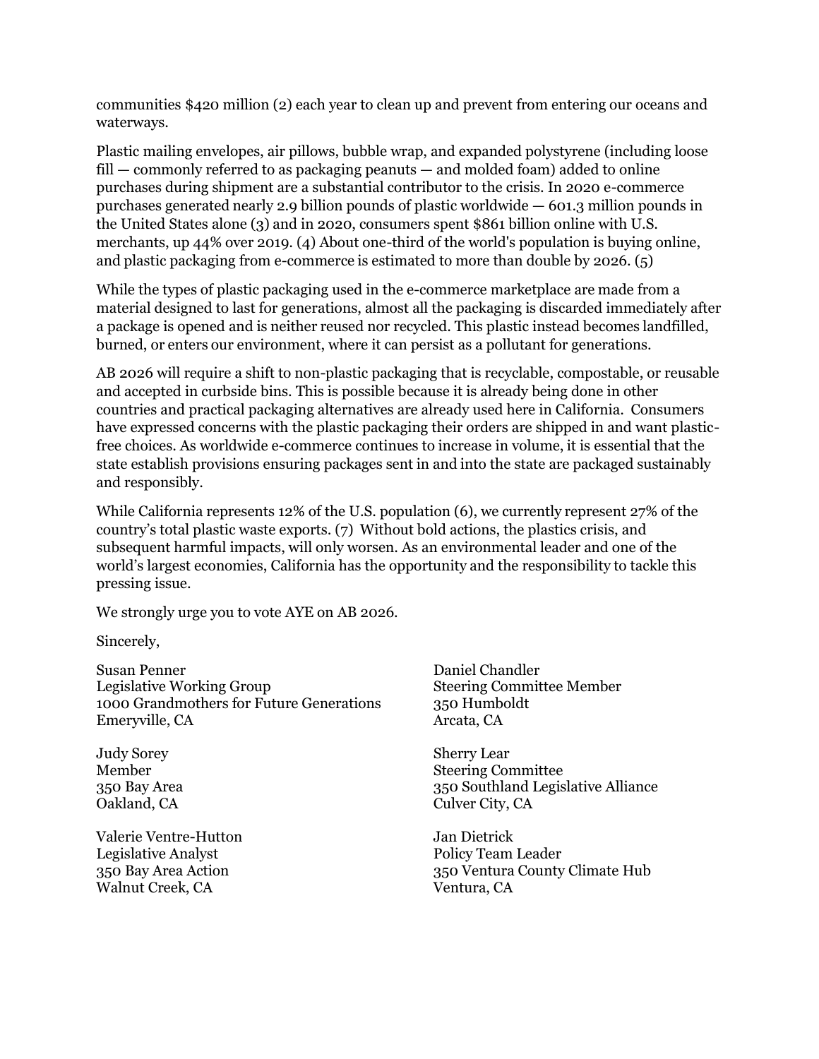communities \$420 million (2) each year to clean up and prevent from entering our oceans and waterways.

Plastic mailing envelopes, air pillows, bubble wrap, and expanded polystyrene (including loose fill — commonly referred to as packaging peanuts — and molded foam) added to online purchases during shipment are a substantial contributor to the crisis. In 2020 e-commerce purchases generated nearly 2.9 billion pounds of plastic worldwide — 601.3 million pounds in the United States alone (3) and in 2020, consumers spent \$861 billion online with U.S. merchants, up 44% over 2019. (4) About one-third of the world's population is buying online, and plastic packaging from e-commerce is estimated to more than double by 2026. (5)

While the types of plastic packaging used in the e-commerce marketplace are made from a material designed to last for generations, almost all the packaging is discarded immediately after a package is opened and is neither reused nor recycled. This plastic instead becomes landfilled, burned, or enters our environment, where it can persist as a pollutant for generations.

AB 2026 will require a shift to non-plastic packaging that is recyclable, compostable, or reusable and accepted in curbside bins. This is possible because it is already being done in other countries and practical packaging alternatives are already used here in California. Consumers have expressed concerns with the plastic packaging their orders are shipped in and want plasticfree choices. As worldwide e-commerce continues to increase in volume, it is essential that the state establish provisions ensuring packages sent in and into the state are packaged sustainably and responsibly.

While California represents 12% of the U.S. population (6), we currently represent 27% of the country's total plastic waste exports. (7) Without bold actions, the plastics crisis, and subsequent harmful impacts, will only worsen. As an environmental leader and one of the world's largest economies, California has the opportunity and the responsibility to tackle this pressing issue.

We strongly urge you to vote AYE on AB 2026.

Sincerely,

Susan Penner Legislative Working Group 1000 Grandmothers for Future Generations Emeryville, CA

Judy Sorey Member 350 Bay Area Oakland, CA

Valerie Ventre-Hutton Legislative Analyst 350 Bay Area Action Walnut Creek, CA

Daniel Chandler Steering Committee Member 350 Humboldt Arcata, CA

Sherry Lear Steering Committee 350 Southland Legislative Alliance Culver City, CA

Jan Dietrick Policy Team Leader 350 Ventura County Climate Hub Ventura, CA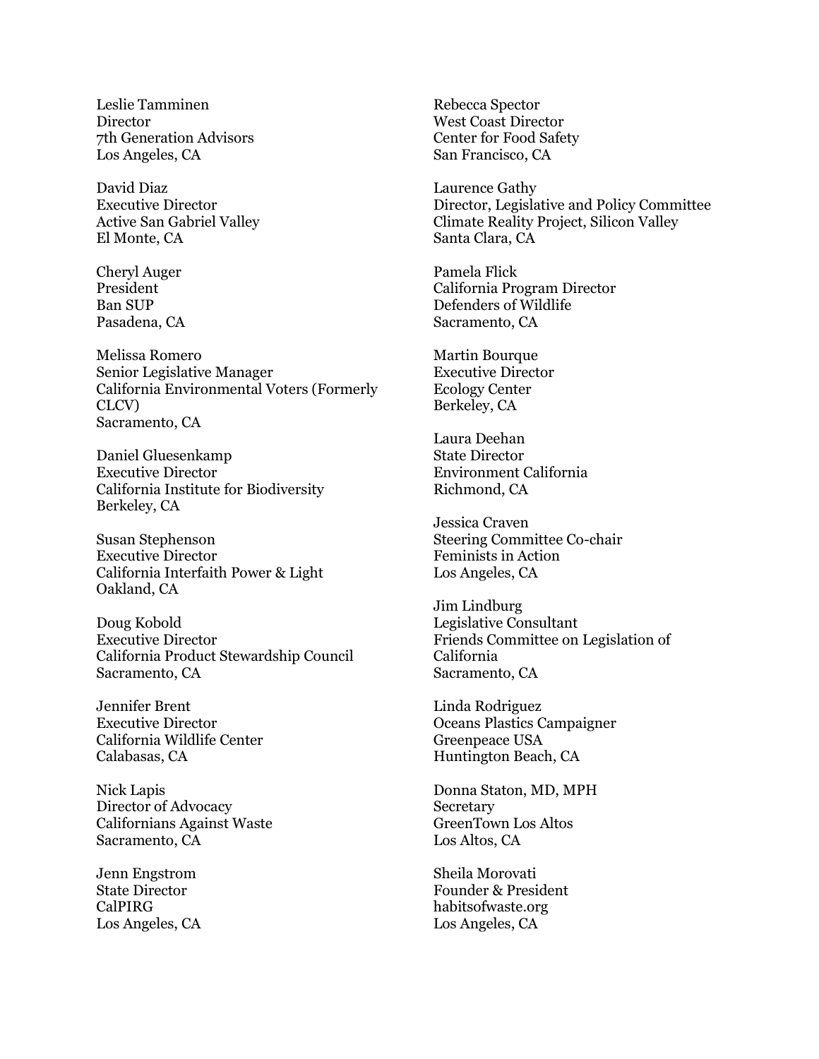Leslie Tamminen **Director** 7th Generation Advisors Los Angeles, CA

David Diaz Executive Director Active San Gabriel Valley El Monte, CA

Cheryl Auger President Ban SUP Pasadena, CA

Melissa Romero Senior Legislative Manager California Environmental Voters (Formerly CLCV) Sacramento, CA

Daniel Gluesenkamp Executive Director California Institute for Biodiversity Berkeley, CA

Susan Stephenson Executive Director California Interfaith Power & Light Oakland, CA

Doug Kobold Executive Director California Product Stewardship Council Sacramento, CA

Jennifer Brent Executive Director California Wildlife Center Calabasas, CA

Nick Lapis Director of Advocacy Californians Against Waste Sacramento, CA

Jenn Engstrom State Director CalPIRG Los Angeles, CA Rebecca Spector West Coast Director Center for Food Safety San Francisco, CA

Laurence Gathy Director, Legislative and Policy Committee Climate Reality Project, Silicon Valley Santa Clara, CA

Pamela Flick California Program Director Defenders of Wildlife Sacramento, CA

Martin Bourque Executive Director Ecology Center Berkeley, CA

Laura Deehan State Director Environment California Richmond, CA

Jessica Craven Steering Committee Co-chair Feminists in Action Los Angeles, CA

Jim Lindburg Legislative Consultant Friends Committee on Legislation of California Sacramento, CA

Linda Rodriguez Oceans Plastics Campaigner Greenpeace USA Huntington Beach, CA

Donna Staton, MD, MPH **Secretary** GreenTown Los Altos Los Altos, CA

Sheila Morovati Founder & President habitsofwaste.org Los Angeles, CA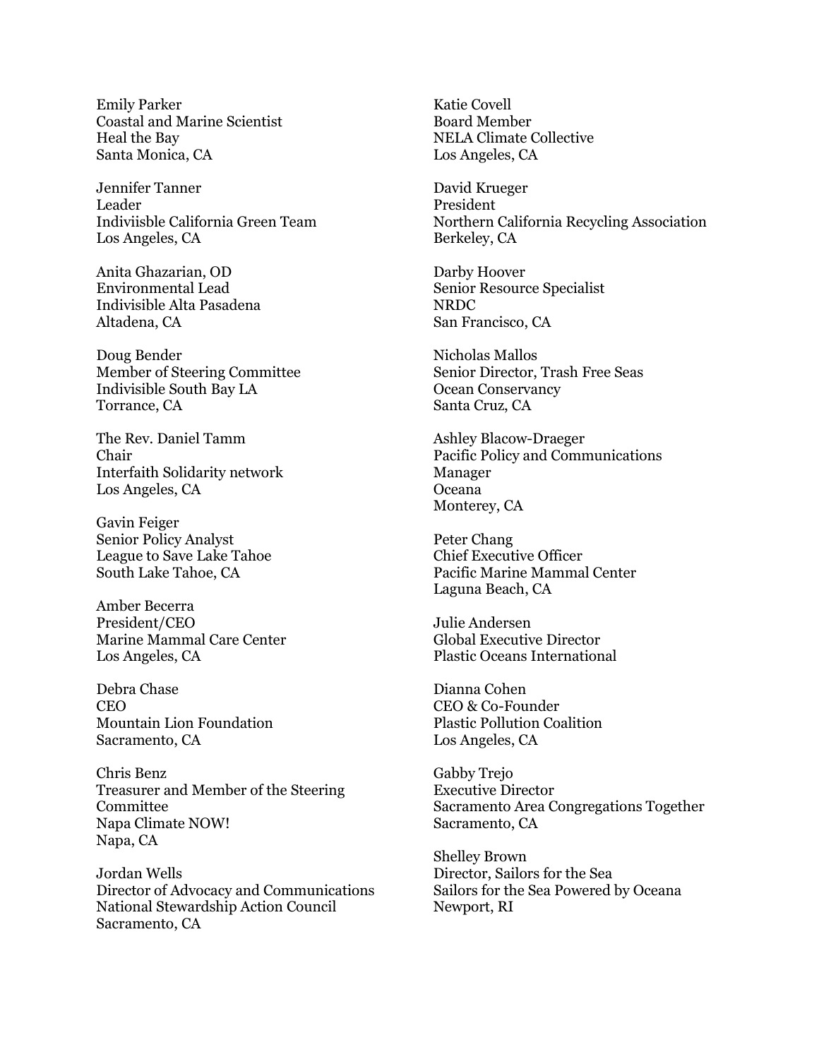Emily Parker Coastal and Marine Scientist Heal the Bay Santa Monica, CA

Jennifer Tanner Leader Indiviisble California Green Team Los Angeles, CA

Anita Ghazarian, OD Environmental Lead Indivisible Alta Pasadena Altadena, CA

Doug Bender Member of Steering Committee Indivisible South Bay LA Torrance, CA

The Rev. Daniel Tamm Chair Interfaith Solidarity network Los Angeles, CA

Gavin Feiger Senior Policy Analyst League to Save Lake Tahoe South Lake Tahoe, CA

Amber Becerra President/CEO Marine Mammal Care Center Los Angeles, CA

Debra Chase CEO Mountain Lion Foundation Sacramento, CA

Chris Benz Treasurer and Member of the Steering Committee Napa Climate NOW! Napa, CA

Jordan Wells Director of Advocacy and Communications National Stewardship Action Council Sacramento, CA

Katie Covell Board Member NELA Climate Collective Los Angeles, CA

David Krueger President Northern California Recycling Association Berkeley, CA

Darby Hoover Senior Resource Specialist NRDC San Francisco, CA

Nicholas Mallos Senior Director, Trash Free Seas Ocean Conservancy Santa Cruz, CA

Ashley Blacow-Draeger Pacific Policy and Communications Manager Oceana Monterey, CA

Peter Chang Chief Executive Officer Pacific Marine Mammal Center Laguna Beach, CA

Julie Andersen Global Executive Director Plastic Oceans International

Dianna Cohen CEO & Co-Founder Plastic Pollution Coalition Los Angeles, CA

Gabby Trejo Executive Director Sacramento Area Congregations Together Sacramento, CA

Shelley Brown Director, Sailors for the Sea Sailors for the Sea Powered by Oceana Newport, RI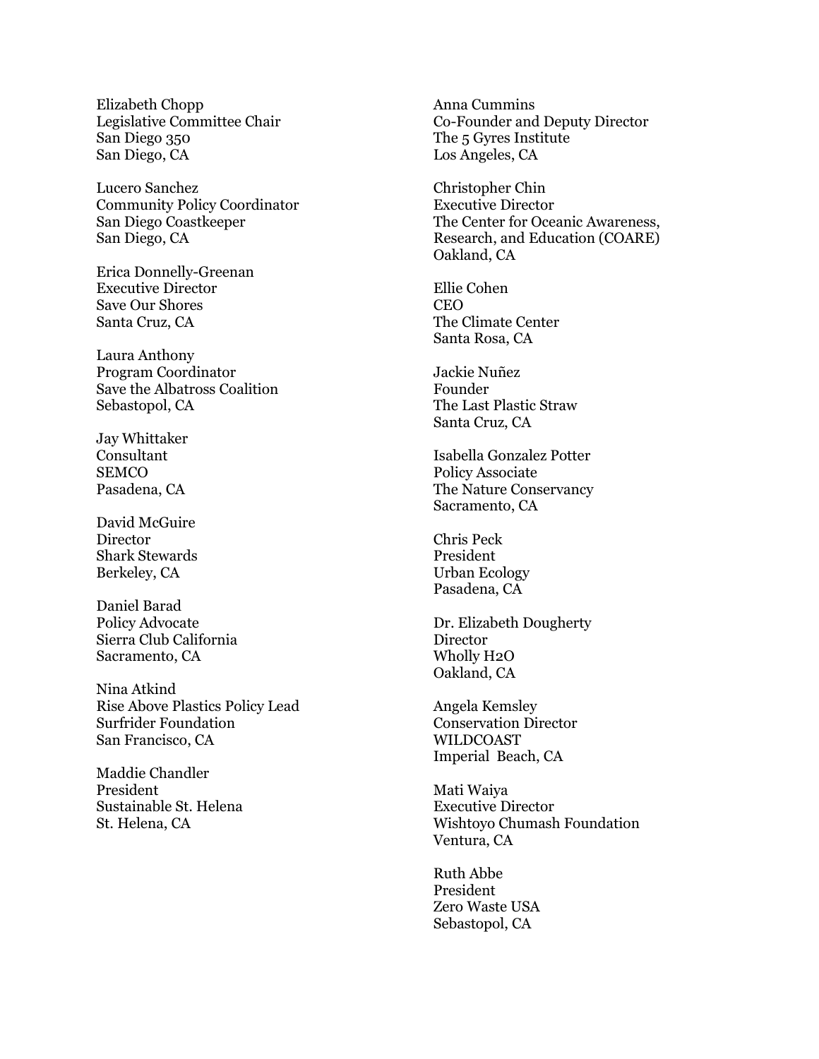Elizabeth Chopp Legislative Committee Chair San Diego 350 San Diego, CA

Lucero Sanchez Community Policy Coordinator San Diego Coastkeeper San Diego, CA

Erica Donnelly-Greenan Executive Director Save Our Shores Santa Cruz, CA

Laura Anthony Program Coordinator Save the Albatross Coalition Sebastopol, CA

Jay Whittaker Consultant **SEMCO** Pasadena, CA

David McGuire **Director** Shark Stewards Berkeley, CA

Daniel Barad Policy Advocate Sierra Club California Sacramento, CA

Nina Atkind Rise Above Plastics Policy Lead Surfrider Foundation San Francisco, CA

Maddie Chandler President Sustainable St. Helena St. Helena, CA

Anna Cummins Co-Founder and Deputy Director The 5 Gyres Institute Los Angeles, CA

Christopher Chin Executive Director The Center for Oceanic Awareness, Research, and Education (COARE) Oakland, CA

Ellie Cohen **CEO** The Climate Center Santa Rosa, CA

Jackie Nuñez Founder The Last Plastic Straw Santa Cruz, CA

Isabella Gonzalez Potter Policy Associate The Nature Conservancy Sacramento, CA

Chris Peck President Urban Ecology Pasadena, CA

Dr. Elizabeth Dougherty Director Wholly H2O Oakland, CA

Angela Kemsley Conservation Director WILDCOAST Imperial Beach, CA

Mati Waiya Executive Director Wishtoyo Chumash Foundation Ventura, CA

Ruth Abbe President Zero Waste USA Sebastopol, CA